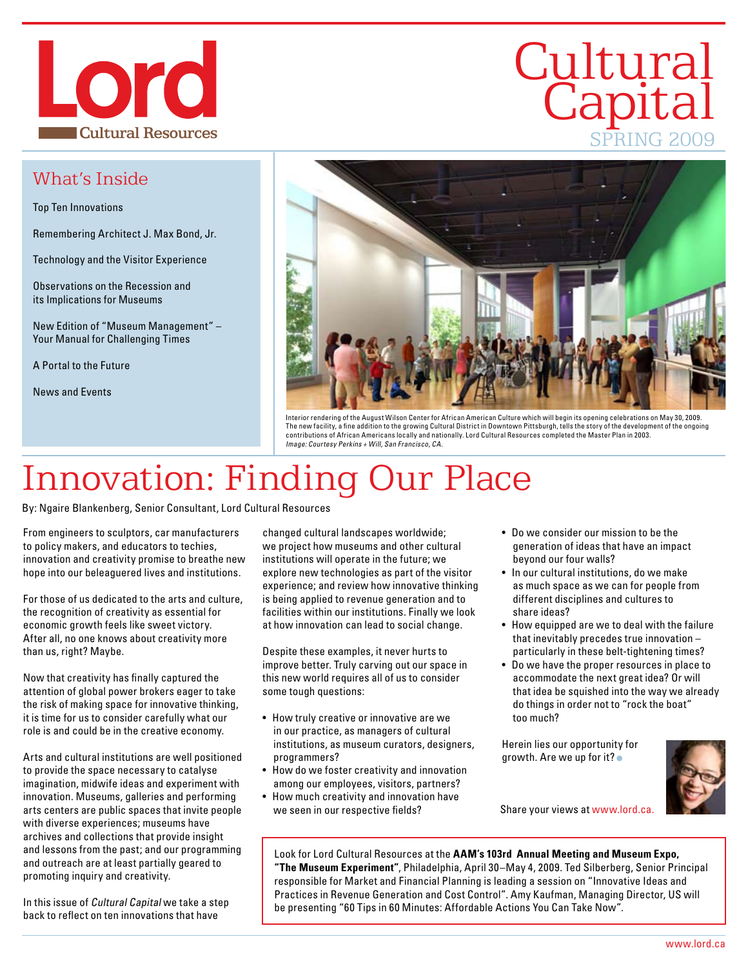

### What's Inside

Top Ten Innovations

Remembering Architect J. Max Bond, Jr.

Technology and the Visitor Experience

Observations on the Recession and its Implications for Museums

New Edition of "Museum Management" – Your Manual for Challenging Times

A Portal to the Future

News and Events



Interior rendering of the August Wilson Center for African American Culture which will begin its opening celebrations on May 30, 2009. The new facility, a fine addition to the growing Cultural District in Downtown Pittsburgh, tells the story of the development of the ongoing contributions of African Americans locally and nationally. Lord Cultural Resources completed the Master Plan in 2003. Image: Courtesy Perkins + Will, San Francisco, CA.

# Innovation: Finding Our Place

By: Ngaire Blankenberg, Senior Consultant, Lord Cultural Resources

From engineers to sculptors, car manufacturers to policy makers, and educators to techies, innovation and creativity promise to breathe new hope into our beleaguered lives and institutions.

For those of us dedicated to the arts and culture, the recognition of creativity as essential for economic growth feels like sweet victory. After all, no one knows about creativity more than us, right? Maybe.

Now that creativity has finally captured the attention of global power brokers eager to take the risk of making space for innovative thinking, it is time for us to consider carefully what our role is and could be in the creative economy.

Arts and cultural institutions are well positioned to provide the space necessary to catalyse imagination, midwife ideas and experiment with innovation. Museums, galleries and performing arts centers are public spaces that invite people with diverse experiences; museums have archives and collections that provide insight and lessons from the past; and our programming and outreach are at least partially geared to promoting inquiry and creativity.

In this issue of Cultural Capital we take a step back to reflect on ten innovations that have

changed cultural landscapes worldwide; we project how museums and other cultural institutions will operate in the future; we explore new technologies as part of the visitor experience; and review how innovative thinking is being applied to revenue generation and to facilities within our institutions. Finally we look at how innovation can lead to social change.

Despite these examples, it never hurts to improve better. Truly carving out our space in this new world requires all of us to consider some tough questions:

- How truly creative or innovative are we in our practice, as managers of cultural institutions, as museum curators, designers, programmers?
- How do we foster creativity and innovation among our employees, visitors, partners?
- How much creativity and innovation have we seen in our respective fields?

• Do we consider our mission to be the generation of ideas that have an impact beyond our four walls?

**Cultural** 

**Capital** 

SPRING 2009

- In our cultural institutions, do we make as much space as we can for people from different disciplines and cultures to share ideas?
- How equipped are we to deal with the failure that inevitably precedes true innovation – particularly in these belt-tightening times?
- Do we have the proper resources in place to accommodate the next great idea? Or will that idea be squished into the way we already do things in order not to "rock the boat" too much?

Herein lies our opportunity for growth. Are we up for it?



Share your views at www.lord.ca.

Look for Lord Cultural Resources at the **AAM's 103rd Annual Meeting and Museum Expo, "The Museum Experiment"**, Philadelphia, April 30–May 4, 2009. Ted Silberberg, Senior Principal responsible for Market and Financial Planning is leading a session on "Innovative Ideas and Practices in Revenue Generation and Cost Control". Amy Kaufman, Managing Director, US will be presenting "60 Tips in 60 Minutes: Affordable Actions You Can Take Now".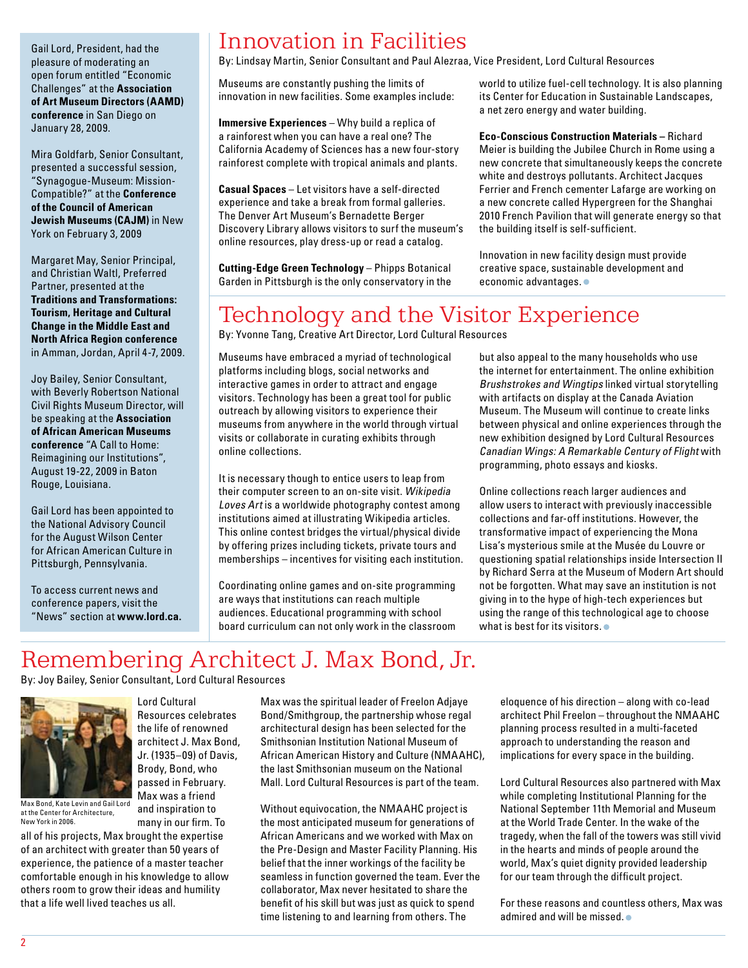Gail Lord, President, had the pleasure of moderating an open forum entitled "Economic Challenges" at the **Association of Art Museum Directors (AAMD) conference** in San Diego on January 28, 2009.

Mira Goldfarb, Senior Consultant, presented a successful session, "Synagogue-Museum: Mission-Compatible?" at the **Conference of the Council of American Jewish Museums (CAJM)** in New York on February 3, 2009

Margaret May, Senior Principal, and Christian Waltl, Preferred Partner, presented at the **Traditions and Transformations: Tourism, Heritage and Cultural Change in the Middle East and North Africa Region conference** in Amman, Jordan, April 4-7, 2009.

Joy Bailey, Senior Consultant, with Beverly Robertson National Civil Rights Museum Director, will be speaking at the **Association of African American Museums conference** "A Call to Home: Reimagining our Institutions", August 19-22, 2009 in Baton Rouge, Louisiana.

Gail Lord has been appointed to the National Advisory Council for the August Wilson Center for African American Culture in Pittsburgh, Pennsylvania.

To access current news and conference papers, visit the "News" section at **www.lord.ca.**

### Innovation in Facilities

By: Lindsay Martin, Senior Consultant and Paul Alezraa, Vice President, Lord Cultural Resources

Museums are constantly pushing the limits of innovation in new facilities. Some examples include:

**Immersive Experiences** – Why build a replica of a rainforest when you can have a real one? The California Academy of Sciences has a new four-story rainforest complete with tropical animals and plants.

**Casual Spaces** – Let visitors have a self-directed experience and take a break from formal galleries. The Denver Art Museum's Bernadette Berger Discovery Library allows visitors to surf the museum's online resources, play dress-up or read a catalog.

**Cutting-Edge Green Technology - Phipps Botanical** Garden in Pittsburgh is the only conservatory in the world to utilize fuel-cell technology. It is also planning its Center for Education in Sustainable Landscapes, a net zero energy and water building.

**Eco-Conscious Construction Materials –** Richard Meier is building the Jubilee Church in Rome using a new concrete that simultaneously keeps the concrete white and destroys pollutants. Architect Jacques Ferrier and French cementer Lafarge are working on a new concrete called Hypergreen for the Shanghai 2010 French Pavilion that will generate energy so that the building itself is self-sufficient.

Innovation in new facility design must provide creative space, sustainable development and economic advantages.

# Technology and the Visitor Experience

By: Yvonne Tang, Creative Art Director, Lord Cultural Resources

Museums have embraced a myriad of technological platforms including blogs, social networks and interactive games in order to attract and engage visitors. Technology has been a great tool for public outreach by allowing visitors to experience their museums from anywhere in the world through virtual visits or collaborate in curating exhibits through online collections.

It is necessary though to entice users to leap from their computer screen to an on-site visit. Wikipedia Loves Art is a worldwide photography contest among institutions aimed at illustrating Wikipedia articles. This online contest bridges the virtual/physical divide by offering prizes including tickets, private tours and memberships – incentives for visiting each institution.

Coordinating online games and on-site programming are ways that institutions can reach multiple audiences. Educational programming with school board curriculum can not only work in the classroom

but also appeal to the many households who use the internet for entertainment. The online exhibition Brushstrokes and Wingtips linked virtual storytelling with artifacts on display at the Canada Aviation Museum. The Museum will continue to create links between physical and online experiences through the new exhibition designed by Lord Cultural Resources Canadian Wings: A Remarkable Century of Flight with programming, photo essays and kiosks.

Online collections reach larger audiences and allow users to interact with previously inaccessible collections and far-off institutions. However, the transformative impact of experiencing the Mona Lisa's mysterious smile at the Musée du Louvre or questioning spatial relationships inside Intersection II by Richard Serra at the Museum of Modern Art should not be forgotten. What may save an institution is not giving in to the hype of high-tech experiences but using the range of this technological age to choose what is best for its visitors.  $\bullet$ 

## Remembering Architect J. Max Bond, Jr.

By: Joy Bailey, Senior Consultant, Lord Cultural Resources

Lord Cultural Resources celebrates the life of renowned architect J. Max Bond, Jr. (1935–09) of Davis, Brody, Bond, who passed in February. Max was a friend and inspiration to many in our firm. To



Max Bond, Kate Levin and Gail Lord at the Center for Architecture, New York in 2006.

all of his projects, Max brought the expertise of an architect with greater than 50 years of experience, the patience of a master teacher comfortable enough in his knowledge to allow others room to grow their ideas and humility that a life well lived teaches us all.

Max was the spiritual leader of Freelon Adjaye Bond/Smithgroup, the partnership whose regal architectural design has been selected for the Smithsonian Institution National Museum of African American History and Culture (NMAAHC), the last Smithsonian museum on the National Mall. Lord Cultural Resources is part of the team.

Without equivocation, the NMAAHC project is the most anticipated museum for generations of African Americans and we worked with Max on the Pre-Design and Master Facility Planning. His belief that the inner workings of the facility be seamless in function governed the team. Ever the collaborator, Max never hesitated to share the benefit of his skill but was just as quick to spend time listening to and learning from others. The

eloquence of his direction – along with co-lead architect Phil Freelon – throughout the NMAAHC planning process resulted in a multi-faceted approach to understanding the reason and implications for every space in the building.

Lord Cultural Resources also partnered with Max while completing Institutional Planning for the National September 11th Memorial and Museum at the World Trade Center. In the wake of the tragedy, when the fall of the towers was still vivid in the hearts and minds of people around the world, Max's quiet dignity provided leadership for our team through the difficult project.

For these reasons and countless others, Max was admired and will be missed.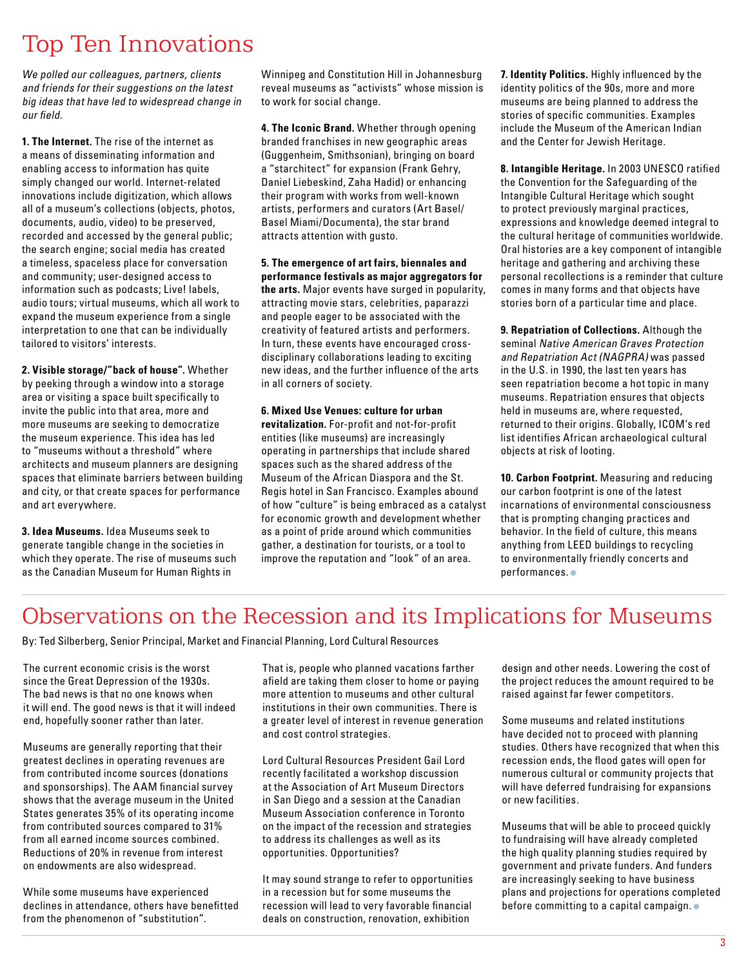# Top Ten Innovations

We polled our colleagues, partners, clients and friends for their suggestions on the latest big ideas that have led to widespread change in our field.

**1. The Internet.** The rise of the internet as a means of disseminating information and enabling access to information has quite simply changed our world. Internet-related innovations include digitization, which allows all of a museum's collections (objects, photos, documents, audio, video) to be preserved, recorded and accessed by the general public; the search engine; social media has created a timeless, spaceless place for conversation and community; user-designed access to information such as podcasts; Live! labels, audio tours; virtual museums, which all work to expand the museum experience from a single interpretation to one that can be individually tailored to visitors' interests.

**2. Visible storage/"back of house".** Whether by peeking through a window into a storage area or visiting a space built specifically to invite the public into that area, more and more museums are seeking to democratize the museum experience. This idea has led to "museums without a threshold" where architects and museum planners are designing spaces that eliminate barriers between building and city, or that create spaces for performance and art everywhere.

**3. Idea Museums.** Idea Museums seek to generate tangible change in the societies in which they operate. The rise of museums such as the Canadian Museum for Human Rights in

Winnipeg and Constitution Hill in Johannesburg reveal museums as "activists" whose mission is to work for social change.

**4. The Iconic Brand.** Whether through opening branded franchises in new geographic areas (Guggenheim, Smithsonian), bringing on board a "starchitect" for expansion (Frank Gehry, Daniel Liebeskind, Zaha Hadid) or enhancing their program with works from well-known artists, performers and curators (Art Basel/ Basel Miami/Documenta), the star brand attracts attention with gusto.

**5. The emergence of art fairs, biennales and performance festivals as major aggregators for the arts.** Major events have surged in popularity, attracting movie stars, celebrities, paparazzi and people eager to be associated with the creativity of featured artists and performers. In turn, these events have encouraged crossdisciplinary collaborations leading to exciting new ideas, and the further influence of the arts in all corners of society.

#### **6. Mixed Use Venues: culture for urban revitalization.** For-profit and not-for-profit

entities (like museums) are increasingly operating in partnerships that include shared spaces such as the shared address of the Museum of the African Diaspora and the St. Regis hotel in San Francisco. Examples abound of how "culture" is being embraced as a catalyst for economic growth and development whether as a point of pride around which communities gather, a destination for tourists, or a tool to improve the reputation and "look" of an area.

**7. Identity Politics.** Highly influenced by the identity politics of the 90s, more and more museums are being planned to address the stories of specific communities. Examples include the Museum of the American Indian and the Center for Jewish Heritage.

**8. Intangible Heritage.** In 2003 UNESCO ratified the Convention for the Safeguarding of the Intangible Cultural Heritage which sought to protect previously marginal practices, expressions and knowledge deemed integral to the cultural heritage of communities worldwide. Oral histories are a key component of intangible heritage and gathering and archiving these personal recollections is a reminder that culture comes in many forms and that objects have stories born of a particular time and place.

**9. Repatriation of Collections.** Although the seminal Native American Graves Protection and Repatriation Act (NAGPRA) was passed in the U.S. in 1990, the last ten years has seen repatriation become a hot topic in many museums. Repatriation ensures that objects held in museums are, where requested, returned to their origins. Globally, ICOM's red list identifies African archaeological cultural objects at risk of looting.

**10. Carbon Footprint.** Measuring and reducing our carbon footprint is one of the latest incarnations of environmental consciousness that is prompting changing practices and behavior. In the field of culture, this means anything from LEED buildings to recycling to environmentally friendly concerts and performances.<sup>•</sup>

### Observations on the Recession and its Implications for Museums

By: Ted Silberberg, Senior Principal, Market and Financial Planning, Lord Cultural Resources

The current economic crisis is the worst since the Great Depression of the 1930s. The bad news is that no one knows when it will end. The good news is that it will indeed end, hopefully sooner rather than later.

Museums are generally reporting that their greatest declines in operating revenues are from contributed income sources (donations and sponsorships). The AAM financial survey shows that the average museum in the United States generates 35% of its operating income from contributed sources compared to 31% from all earned income sources combined. Reductions of 20% in revenue from interest on endowments are also widespread.

While some museums have experienced declines in attendance, others have benefitted from the phenomenon of "substitution".

That is, people who planned vacations farther afield are taking them closer to home or paying more attention to museums and other cultural institutions in their own communities. There is a greater level of interest in revenue generation and cost control strategies.

Lord Cultural Resources President Gail Lord recently facilitated a workshop discussion at the Association of Art Museum Directors in San Diego and a session at the Canadian Museum Association conference in Toronto on the impact of the recession and strategies to address its challenges as well as its opportunities. Opportunities?

It may sound strange to refer to opportunities in a recession but for some museums the recession will lead to very favorable financial deals on construction, renovation, exhibition

design and other needs. Lowering the cost of the project reduces the amount required to be raised against far fewer competitors.

Some museums and related institutions have decided not to proceed with planning studies. Others have recognized that when this recession ends, the flood gates will open for numerous cultural or community projects that will have deferred fundraising for expansions or new facilities.

Museums that will be able to proceed quickly to fundraising will have already completed the high quality planning studies required by government and private funders. And funders are increasingly seeking to have business plans and projections for operations completed before committing to a capital campaign.  $\bullet$